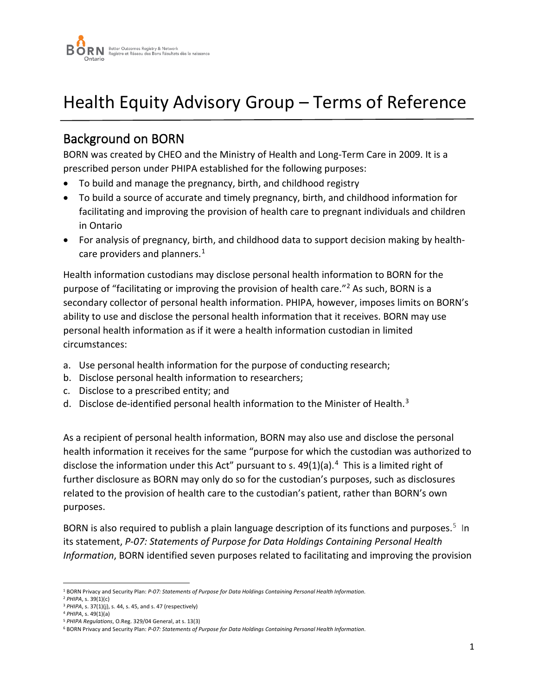

# Health Equity Advisory Group – Terms of Reference

### Background on BORN

BORN was created by CHEO and the Ministry of Health and Long-Term Care in 2009. It is a prescribed person under PHIPA established for the following purposes:

- To build and manage the pregnancy, birth, and childhood registry
- To build a source of accurate and timely pregnancy, birth, and childhood information for facilitating and improving the provision of health care to pregnant individuals and children in Ontario
- For analysis of pregnancy, birth, and childhood data to support decision making by health-care providers and planners.<sup>[1](#page-0-0)</sup>

Health information custodians may disclose personal health information to BORN for the purpose of "facilitating or improving the provision of health care."[2](#page-0-1) As such, BORN is a secondary collector of personal health information. PHIPA, however, imposes limits on BORN's ability to use and disclose the personal health information that it receives. BORN may use personal health information as if it were a health information custodian in limited circumstances:

- a. Use personal health information for the purpose of conducting research;
- b. Disclose personal health information to researchers;
- c. Disclose to a prescribed entity; and
- d. Disclose de-identified personal health information to the Minister of Health.[3](#page-0-2)

As a recipient of personal health information, BORN may also use and disclose the personal health information it receives for the same "purpose for which the custodian was authorized to disclose the information under this Act" pursuant to s.  $49(1)(a)$  $49(1)(a)$ .<sup>4</sup> This is a limited right of further disclosure as BORN may only do so for the custodian's purposes, such as disclosures related to the provision of health care to the custodian's patient, rather than BORN's own purposes.

BORN is also required to publish a plain language description of its functions and purposes.<sup>5</sup> In its statement, *P-07: Statements of Purpose for Data Holdings Containing Personal Health Information*, BORN identified seven purposes related to facilitating and improving the provision

<span id="page-0-1"></span><span id="page-0-0"></span><sup>1</sup> BORN Privacy and Security Plan: *P-07: Statements of Purpose for Data Holdings Containing Personal Health Information*. 2 *PHIPA*, s. 39(1)(c)

<span id="page-0-2"></span><sup>3</sup> *PHIPA*, s. 37(1)(j), s. 44, s. 45, and s. 47 (respectively)

<sup>4</sup> *PHIPA*, s. 49(1)(a)

<span id="page-0-4"></span><span id="page-0-3"></span><sup>5</sup> *PHIPA Regulations*, O.Reg. 329/04 General, at s. 13(3)

<sup>6</sup> BORN Privacy and Security Plan: *P-07: Statements of Purpose for Data Holdings Containing Personal Health Information*.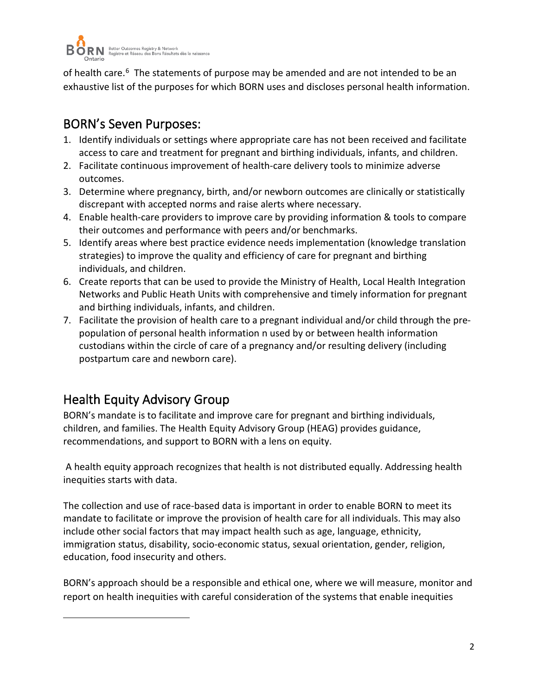

of health care.<sup>[6](#page-1-0)</sup> The statements of purpose may be amended and are not intended to be an exhaustive list of the purposes for which BORN uses and discloses personal health information.

## BORN's Seven Purposes:

- 1. Identify individuals or settings where appropriate care has not been received and facilitate access to care and treatment for pregnant and birthing individuals, infants, and children.
- 2. Facilitate continuous improvement of health-care delivery tools to minimize adverse outcomes.
- 3. Determine where pregnancy, birth, and/or newborn outcomes are clinically or statistically discrepant with accepted norms and raise alerts where necessary.
- 4. Enable health-care providers to improve care by providing information & tools to compare their outcomes and performance with peers and/or benchmarks.
- 5. Identify areas where best practice evidence needs implementation (knowledge translation strategies) to improve the quality and efficiency of care for pregnant and birthing individuals, and children.
- 6. Create reports that can be used to provide the Ministry of Health, Local Health Integration Networks and Public Heath Units with comprehensive and timely information for pregnant and birthing individuals, infants, and children.
- 7. Facilitate the provision of health care to a pregnant individual and/or child through the prepopulation of personal health information n used by or between health information custodians within the circle of care of a pregnancy and/or resulting delivery (including postpartum care and newborn care).

## Health Equity Advisory Group

BORN's mandate is to facilitate and improve care for pregnant and birthing individuals, children, and families. The Health Equity Advisory Group (HEAG) provides guidance, recommendations, and support to BORN with a lens on equity.

A health equity approach recognizes that health is not distributed equally. Addressing health inequities starts with data.

The collection and use of race-based data is important in order to enable BORN to meet its mandate to facilitate or improve the provision of health care for all individuals. This may also include other social factors that may impact health such as age, language, ethnicity, immigration status, disability, socio-economic status, sexual orientation, gender, religion, education, food insecurity and others.

<span id="page-1-0"></span>BORN's approach should be a responsible and ethical one, where we will measure, monitor and report on health inequities with careful consideration of the systems that enable inequities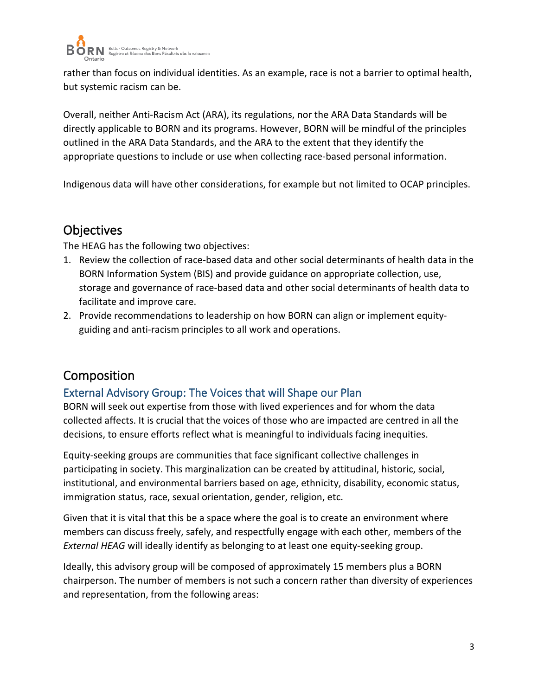

rather than focus on individual identities. As an example, race is not a barrier to optimal health, but systemic racism can be.

Overall, neither Anti-Racism Act (ARA), its regulations, nor the ARA Data Standards will be directly applicable to BORN and its programs. However, BORN will be mindful of the principles outlined in the ARA Data Standards, and the ARA to the extent that they identify the appropriate questions to include or use when collecting race-based personal information.

Indigenous data will have other considerations, for example but not limited to OCAP principles.

### **Objectives**

The HEAG has the following two objectives:

- 1. Review the collection of race-based data and other social determinants of health data in the BORN Information System (BIS) and provide guidance on appropriate collection, use, storage and governance of race-based data and other social determinants of health data to facilitate and improve care.
- 2. Provide recommendations to leadership on how BORN can align or implement equityguiding and anti-racism principles to all work and operations.

### Composition

#### External Advisory Group: The Voices that will Shape our Plan

BORN will seek out expertise from those with lived experiences and for whom the data collected affects. It is crucial that the voices of those who are impacted are centred in all the decisions, to ensure efforts reflect what is meaningful to individuals facing inequities.

Equity-seeking groups are communities that face significant collective challenges in participating in society. This marginalization can be created by attitudinal, historic, social, institutional, and environmental barriers based on age, ethnicity, disability, economic status, immigration status, race, sexual orientation, gender, religion, etc.

Given that it is vital that this be a space where the goal is to create an environment where members can discuss freely, safely, and respectfully engage with each other, members of the *External HEAG* will ideally identify as belonging to at least one equity-seeking group.

Ideally, this advisory group will be composed of approximately 15 members plus a BORN chairperson. The number of members is not such a concern rather than diversity of experiences and representation, from the following areas: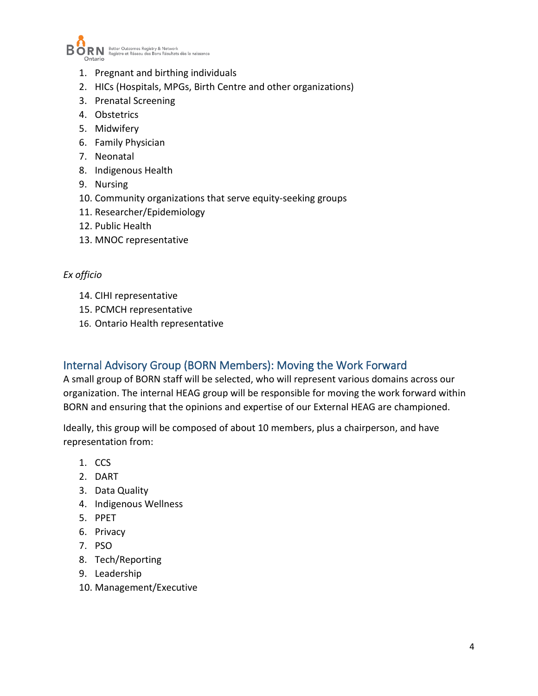

- 1. Pregnant and birthing individuals
- 2. HICs (Hospitals, MPGs, Birth Centre and other organizations)
- 3. Prenatal Screening
- 4. Obstetrics
- 5. Midwifery
- 6. Family Physician
- 7. Neonatal
- 8. Indigenous Health
- 9. Nursing
- 10. Community organizations that serve equity-seeking groups
- 11. Researcher/Epidemiology
- 12. Public Health
- 13. MNOC representative

#### *Ex officio*

- 14. CIHI representative
- 15. PCMCH representative
- 16. Ontario Health representative

#### Internal Advisory Group (BORN Members): Moving the Work Forward

A small group of BORN staff will be selected, who will represent various domains across our organization. The internal HEAG group will be responsible for moving the work forward within BORN and ensuring that the opinions and expertise of our External HEAG are championed.

Ideally, this group will be composed of about 10 members, plus a chairperson, and have representation from:

- 1. CCS
- 2. DART
- 3. Data Quality
- 4. Indigenous Wellness
- 5. PPET
- 6. Privacy
- 7. PSO
- 8. Tech/Reporting
- 9. Leadership
- 10. Management/Executive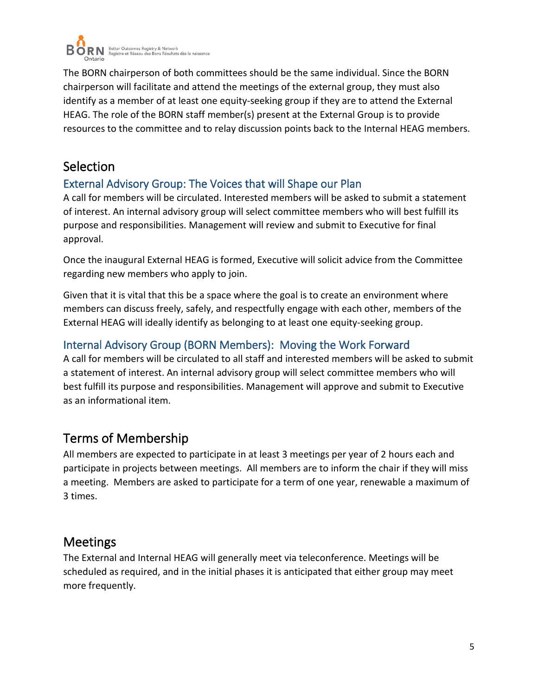

The BORN chairperson of both committees should be the same individual. Since the BORN chairperson will facilitate and attend the meetings of the external group, they must also identify as a member of at least one equity-seeking group if they are to attend the External HEAG. The role of the BORN staff member(s) present at the External Group is to provide resources to the committee and to relay discussion points back to the Internal HEAG members.

### **Selection**

#### External Advisory Group: The Voices that will Shape our Plan

A call for members will be circulated. Interested members will be asked to submit a statement of interest. An internal advisory group will select committee members who will best fulfill its purpose and responsibilities. Management will review and submit to Executive for final approval.

Once the inaugural External HEAG is formed, Executive will solicit advice from the Committee regarding new members who apply to join.

Given that it is vital that this be a space where the goal is to create an environment where members can discuss freely, safely, and respectfully engage with each other, members of the External HEAG will ideally identify as belonging to at least one equity-seeking group.

#### Internal Advisory Group (BORN Members): Moving the Work Forward

A call for members will be circulated to all staff and interested members will be asked to submit a statement of interest. An internal advisory group will select committee members who will best fulfill its purpose and responsibilities. Management will approve and submit to Executive as an informational item.

## Terms of Membership

All members are expected to participate in at least 3 meetings per year of 2 hours each and participate in projects between meetings. All members are to inform the chair if they will miss a meeting. Members are asked to participate for a term of one year, renewable a maximum of 3 times.

### **Meetings**

The External and Internal HEAG will generally meet via teleconference. Meetings will be scheduled as required, and in the initial phases it is anticipated that either group may meet more frequently.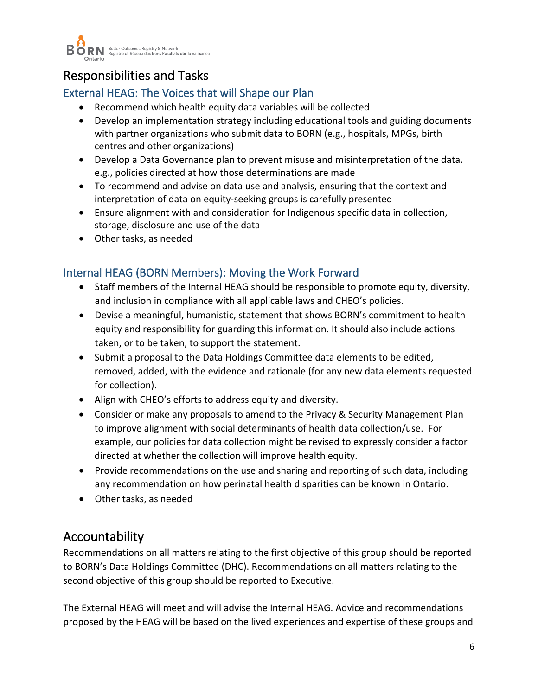

## Responsibilities and Tasks

### External HEAG: The Voices that will Shape our Plan

- Recommend which health equity data variables will be collected
- Develop an implementation strategy including educational tools and guiding documents with partner organizations who submit data to BORN (e.g., hospitals, MPGs, birth centres and other organizations)
- Develop a Data Governance plan to prevent misuse and misinterpretation of the data. e.g., policies directed at how those determinations are made
- To recommend and advise on data use and analysis, ensuring that the context and interpretation of data on equity-seeking groups is carefully presented
- Ensure alignment with and consideration for Indigenous specific data in collection, storage, disclosure and use of the data
- Other tasks, as needed

### Internal HEAG (BORN Members): Moving the Work Forward

- Staff members of the Internal HEAG should be responsible to promote equity, diversity, and inclusion in compliance with all applicable laws and CHEO's policies.
- Devise a meaningful, humanistic, statement that shows BORN's commitment to health equity and responsibility for guarding this information. It should also include actions taken, or to be taken, to support the statement.
- Submit a proposal to the Data Holdings Committee data elements to be edited, removed, added, with the evidence and rationale (for any new data elements requested for collection).
- Align with CHEO's efforts to address equity and diversity.
- Consider or make any proposals to amend to the Privacy & Security Management Plan to improve alignment with social determinants of health data collection/use. For example, our policies for data collection might be revised to expressly consider a factor directed at whether the collection will improve health equity.
- Provide recommendations on the use and sharing and reporting of such data, including any recommendation on how perinatal health disparities can be known in Ontario.
- Other tasks, as needed

### Accountability

Recommendations on all matters relating to the first objective of this group should be reported to BORN's Data Holdings Committee (DHC). Recommendations on all matters relating to the second objective of this group should be reported to Executive.

The External HEAG will meet and will advise the Internal HEAG. Advice and recommendations proposed by the HEAG will be based on the lived experiences and expertise of these groups and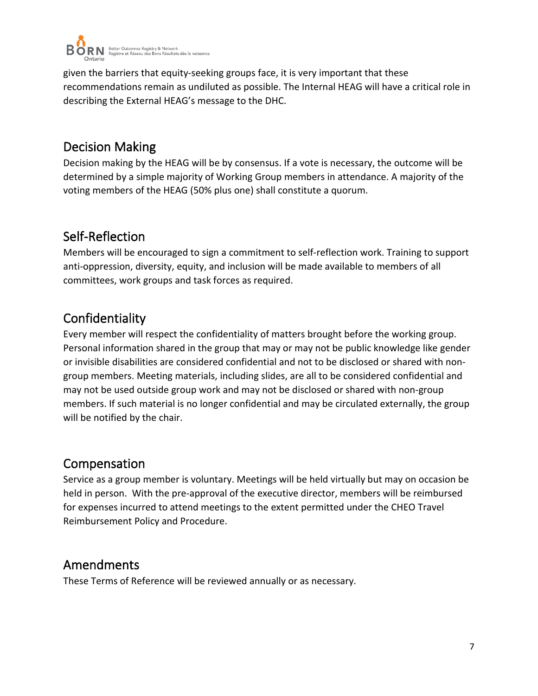

given the barriers that equity-seeking groups face, it is very important that these recommendations remain as undiluted as possible. The Internal HEAG will have a critical role in describing the External HEAG's message to the DHC.

### Decision Making

Decision making by the HEAG will be by consensus. If a vote is necessary, the outcome will be determined by a simple majority of Working Group members in attendance. A majority of the voting members of the HEAG (50% plus one) shall constitute a quorum.

## Self-Reflection

Members will be encouraged to sign a commitment to self-reflection work. Training to support anti-oppression, diversity, equity, and inclusion will be made available to members of all committees, work groups and task forces as required.

## Confidentiality

Every member will respect the confidentiality of matters brought before the working group. Personal information shared in the group that may or may not be public knowledge like gender or invisible disabilities are considered confidential and not to be disclosed or shared with nongroup members. Meeting materials, including slides, are all to be considered confidential and may not be used outside group work and may not be disclosed or shared with non-group members. If such material is no longer confidential and may be circulated externally, the group will be notified by the chair.

## Compensation

Service as a group member is voluntary. Meetings will be held virtually but may on occasion be held in person. With the pre-approval of the executive director, members will be reimbursed for expenses incurred to attend meetings to the extent permitted under the CHEO Travel Reimbursement Policy and Procedure.

## Amendments

These Terms of Reference will be reviewed annually or as necessary.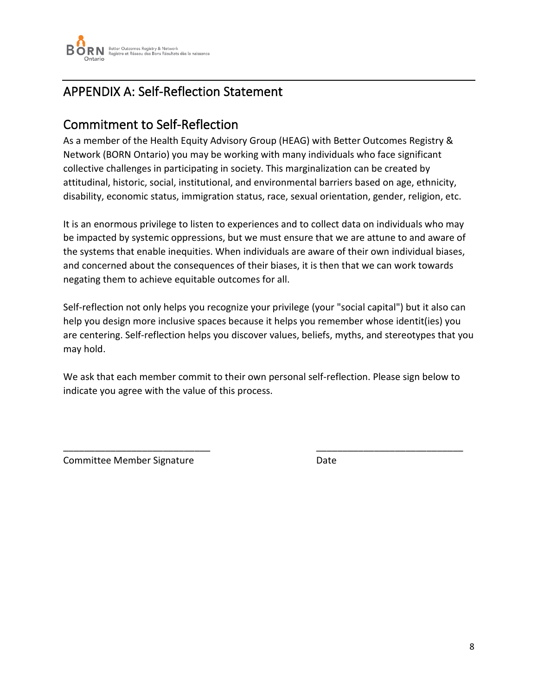

## APPENDIX A: Self-Reflection Statement

## Commitment to Self-Reflection

As a member of the Health Equity Advisory Group (HEAG) with Better Outcomes Registry & Network (BORN Ontario) you may be working with many individuals who face significant collective challenges in participating in society. This marginalization can be created by attitudinal, historic, social, institutional, and environmental barriers based on age, ethnicity, disability, economic status, immigration status, race, sexual orientation, gender, religion, etc.

It is an enormous privilege to listen to experiences and to collect data on individuals who may be impacted by systemic oppressions, but we must ensure that we are attune to and aware of the systems that enable inequities. When individuals are aware of their own individual biases, and concerned about the consequences of their biases, it is then that we can work towards negating them to achieve equitable outcomes for all.

Self-reflection not only helps you recognize your privilege (your "social capital") but it also can help you design more inclusive spaces because it helps you remember whose identit(ies) you are centering. Self-reflection helps you discover values, beliefs, myths, and stereotypes that you may hold.

We ask that each member commit to their own personal self-reflection. Please sign below to indicate you agree with the value of this process.

\_\_\_\_\_\_\_\_\_\_\_\_\_\_\_\_\_\_\_\_\_\_\_\_\_\_\_\_ \_\_\_\_\_\_\_\_\_\_\_\_\_\_\_\_\_\_\_\_\_\_\_\_\_\_\_\_

Committee Member Signature **Date** Date